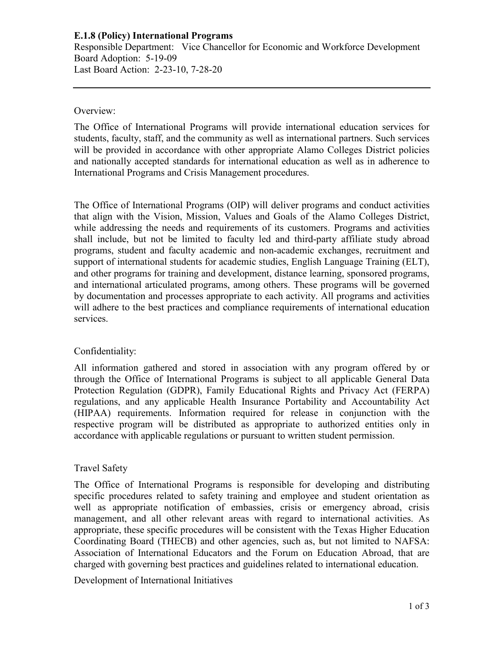# **E.1.8 (Policy) International Programs**

Responsible Department: Vice Chancellor for Economic and Workforce Development Board Adoption: 5-19-09 Last Board Action: 2-23-10, 7-28-20

#### Overview:

The Office of International Programs will provide international education services for students, faculty, staff, and the community as well as international partners. Such services will be provided in accordance with other appropriate Alamo Colleges District policies and nationally accepted standards for international education as well as in adherence to International Programs and Crisis Management procedures.

The Office of International Programs (OIP) will deliver programs and conduct activities that align with the Vision, Mission, Values and Goals of the Alamo Colleges District, while addressing the needs and requirements of its customers. Programs and activities shall include, but not be limited to faculty led and third-party affiliate study abroad programs, student and faculty academic and non-academic exchanges, recruitment and support of international students for academic studies, English Language Training (ELT), and other programs for training and development, distance learning, sponsored programs, and international articulated programs, among others. These programs will be governed by documentation and processes appropriate to each activity. All programs and activities will adhere to the best practices and compliance requirements of international education services.

## Confidentiality:

All information gathered and stored in association with any program offered by or through the Office of International Programs is subject to all applicable General Data Protection Regulation (GDPR), Family Educational Rights and Privacy Act (FERPA) regulations, and any applicable Health Insurance Portability and Accountability Act (HIPAA) requirements. Information required for release in conjunction with the respective program will be distributed as appropriate to authorized entities only in accordance with applicable regulations or pursuant to written student permission.

## Travel Safety

The Office of International Programs is responsible for developing and distributing specific procedures related to safety training and employee and student orientation as well as appropriate notification of embassies, crisis or emergency abroad, crisis management, and all other relevant areas with regard to international activities. As appropriate, these specific procedures will be consistent with the Texas Higher Education Coordinating Board (THECB) and other agencies, such as, but not limited to NAFSA: Association of International Educators and the Forum on Education Abroad, that are charged with governing best practices and guidelines related to international education.

Development of International Initiatives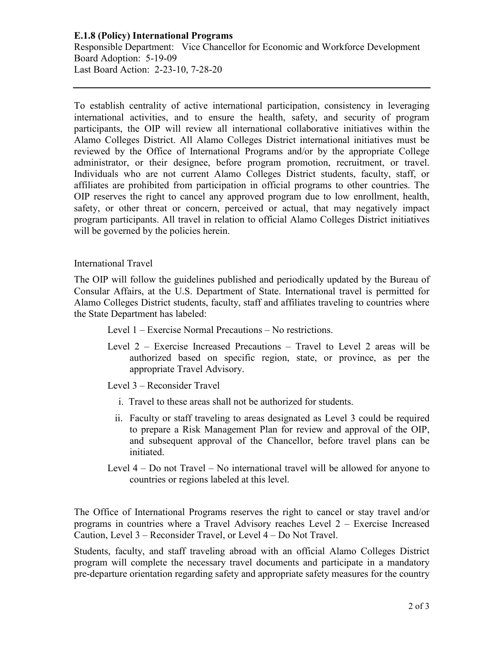## **E.1.8 (Policy) International Programs**

Responsible Department: Vice Chancellor for Economic and Workforce Development Board Adoption: 5-19-09 Last Board Action: 2-23-10, 7-28-20

To establish centrality of active international participation, consistency in leveraging international activities, and to ensure the health, safety, and security of program participants, the OIP will review all international collaborative initiatives within the Alamo Colleges District. All Alamo Colleges District international initiatives must be reviewed by the Office of International Programs and/or by the appropriate College administrator, or their designee, before program promotion, recruitment, or travel. Individuals who are not current Alamo Colleges District students, faculty, staff, or affiliates are prohibited from participation in official programs to other countries. The OIP reserves the right to cancel any approved program due to low enrollment, health, safety, or other threat or concern, perceived or actual, that may negatively impact program participants. All travel in relation to official Alamo Colleges District initiatives will be governed by the policies herein.

#### International Travel

The OIP will follow the guidelines published and periodically updated by the Bureau of Consular Affairs, at the U.S. Department of State. International travel is permitted for Alamo Colleges District students, faculty, staff and affiliates traveling to countries where the State Department has labeled:

- Level 1 Exercise Normal Precautions No restrictions.
- Level 2 Exercise Increased Precautions Travel to Level 2 areas will be authorized based on specific region, state, or province, as per the appropriate Travel Advisory.

Level 3 – Reconsider Travel

- i. Travel to these areas shall not be authorized for students.
- ii. Faculty or staff traveling to areas designated as Level 3 could be required to prepare a Risk Management Plan for review and approval of the OIP, and subsequent approval of the Chancellor, before travel plans can be initiated.
- Level 4 Do not Travel No international travel will be allowed for anyone to countries or regions labeled at this level.

The Office of International Programs reserves the right to cancel or stay travel and/or programs in countries where a Travel Advisory reaches Level 2 – Exercise Increased Caution, Level 3 – Reconsider Travel, or Level 4 – Do Not Travel.

Students, faculty, and staff traveling abroad with an official Alamo Colleges District program will complete the necessary travel documents and participate in a mandatory pre-departure orientation regarding safety and appropriate safety measures for the country